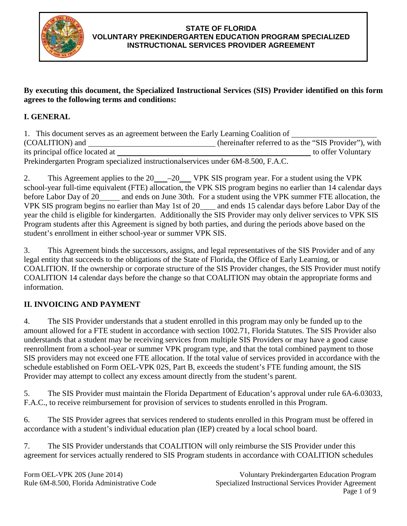

#### **STATE OF FLORIDA VOLUNTARY PREKINDERGARTEN EDUCATION PROGRAM SPECIALIZED INSTRUCTIONAL SERVICES PROVIDER AGREEMENT**

#### **By executing this document, the Specialized Instructional Services (SIS) Provider identified on this form agrees to the following terms and conditions:**

# **I. GENERAL**

| 1. This document serves as an agreement between the Early Learning Coalition of   |                                                       |
|-----------------------------------------------------------------------------------|-------------------------------------------------------|
| (COALITION) and                                                                   | (hereinafter referred to as the "SIS Provider"), with |
| its principal office located at                                                   | to offer Voluntary                                    |
| Prekindergarten Program specialized instructionals ervices under 6M-8.500, F.A.C. |                                                       |

2. This Agreement applies to the 20 - 20 VPK SIS program year. For a student using the VPK school-year full-time equivalent (FTE) allocation, the VPK SIS program begins no earlier than 14 calendar days before Labor Day of 20 and ends on June 30th. For a student using the VPK summer FTE allocation, the VPK SIS program begins no earlier than May 1st of 20 and ends 15 calendar days before Labor Day of the year the child is eligible for kindergarten. Additionally the SIS Provider may only deliver services to VPK SIS Program students after this Agreement is signed by both parties, and during the periods above based on the student's enrollment in either school-year or summer VPK SIS.

3. This Agreement binds the successors, assigns, and legal representatives of the SIS Provider and of any legal entity that succeeds to the obligations of the State of Florida, the Office of Early Learning, or COALITION. If the ownership or corporate structure of the SIS Provider changes, the SIS Provider must notify COALITION 14 calendar days before the change so that COALITION may obtain the appropriate forms and information.

#### **II. INVOICING AND PAYMENT**

4. The SIS Provider understands that a student enrolled in this program may only be funded up to the amount allowed for a FTE student in accordance with section 1002.71, Florida Statutes. The SIS Provider also understands that a student may be receiving services from multiple SIS Providers or may have a good cause reenrollment from a school-year or summer VPK program type, and that the total combined payment to those SIS providers may not exceed one FTE allocation. If the total value of services provided in accordance with the schedule established on Form OEL-VPK 02S, Part B, exceeds the student's FTE funding amount, the SIS Provider may attempt to collect any excess amount directly from the student's parent.

5. The SIS Provider must maintain the Florida Department of Education's approval under rule 6A-6.03033, F.A.C., to receive reimbursement for provision of services to students enrolled in this Program.

6. The SIS Provider agrees that services rendered to students enrolled in this Program must be offered in accordance with a student's individual education plan (IEP) created by a local school board.

7. The SIS Provider understands that COALITION will only reimburse the SIS Provider under this agreement for services actually rendered to SIS Program students in accordance with COALITION schedules

Form OEL-VPK 20S (June 2014) Rule 6M-8.500, Florida Administrative Code

Voluntary Prekindergarten Education Program Specialized Instructional Services Provider Agreement Page 1 of 9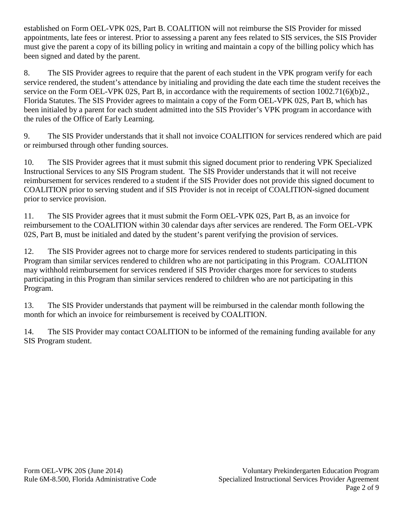established on Form OEL-VPK 02S, Part B. COALITION will not reimburse the SIS Provider for missed appointments, late fees or interest. Prior to assessing a parent any fees related to SIS services, the SIS Provider must give the parent a copy of its billing policy in writing and maintain a copy of the billing policy which has been signed and dated by the parent.

8. The SIS Provider agrees to require that the parent of each student in the VPK program verify for each service rendered, the student's attendance by initialing and providing the date each time the student receives the service on the Form OEL-VPK 02S, Part B, in accordance with the requirements of section  $1002.71(6)(b)2$ . Florida Statutes. The SIS Provider agrees to maintain a copy of the Form OEL-VPK 02S, Part B, which has been initialed by a parent for each student admitted into the SIS Provider's VPK program in accordance with the rules of the Office of Early Learning.

9. The SIS Provider understands that it shall not invoice COALITION for services rendered which are paid or reimbursed through other funding sources.

10. The SIS Provider agrees that it must submit this signed document prior to rendering VPK Specialized Instructional Services to any SIS Program student. The SIS Provider understands that it will not receive reimbursement for services rendered to a student if the SIS Provider does not provide this signed document to COALITION prior to serving student and if SIS Provider is not in receipt of COALITION-signed document prior to service provision.

11. The SIS Provider agrees that it must submit the Form OEL-VPK 02S, Part B, as an invoice for reimbursement to the COALITION within 30 calendar days after services are rendered. The Form OEL-VPK 02S, Part B, must be initialed and dated by the student's parent verifying the provision of services.

12. The SIS Provider agrees not to charge more for services rendered to students participating in this Program than similar services rendered to children who are not participating in this Program. COALITION may withhold reimbursement for services rendered if SIS Provider charges more for services to students participating in this Program than similar services rendered to children who are not participating in this Program.

13. The SIS Provider understands that payment will be reimbursed in the calendar month following the month for which an invoice for reimbursement is received by COALITION.

14. The SIS Provider may contact COALITION to be informed of the remaining funding available for any SIS Program student.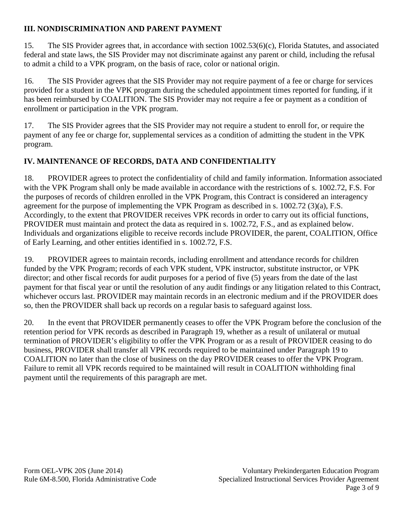## **III. NONDISCRIMINATION AND PARENT PAYMENT**

15. The SIS Provider agrees that, in accordance with section 1002.53(6)(c), Florida Statutes, and associated federal and state laws, the SIS Provider may not discriminate against any parent or child, including the refusal to admit a child to a VPK program, on the basis of race, color or national origin.

16. The SIS Provider agrees that the SIS Provider may not require payment of a fee or charge for services provided for a student in the VPK program during the scheduled appointment times reported for funding, if it has been reimbursed by COALITION. The SIS Provider may not require a fee or payment as a condition of enrollment or participation in the VPK program.

17. The SIS Provider agrees that the SIS Provider may not require a student to enroll for, or require the payment of any fee or charge for, supplemental services as a condition of admitting the student in the VPK program.

# **IV. MAINTENANCE OF RECORDS, DATA AND CONFIDENTIALITY**

18. PROVIDER agrees to protect the confidentiality of child and family information. Information associated with the VPK Program shall only be made available in accordance with the restrictions of s. 1002.72, F.S. For the purposes of records of children enrolled in the VPK Program, this Contract is considered an interagency agreement for the purpose of implementing the VPK Program as described in s. 1002.72 (3)(a), F.S. Accordingly, to the extent that PROVIDER receives VPK records in order to carry out its official functions, PROVIDER must maintain and protect the data as required in s. 1002.72, F.S., and as explained below. Individuals and organizations eligible to receive records include PROVIDER, the parent, COALITION, Office of Early Learning, and other entities identified in s. 1002.72, F.S.

19. PROVIDER agrees to maintain records, including enrollment and attendance records for children funded by the VPK Program; records of each VPK student, VPK instructor, substitute instructor, or VPK director; and other fiscal records for audit purposes for a period of five (5) years from the date of the last payment for that fiscal year or until the resolution of any audit findings or any litigation related to this Contract, whichever occurs last. PROVIDER may maintain records in an electronic medium and if the PROVIDER does so, then the PROVIDER shall back up records on a regular basis to safeguard against loss.

20. In the event that PROVIDER permanently ceases to offer the VPK Program before the conclusion of the retention period for VPK records as described in Paragraph 19, whether as a result of unilateral or mutual termination of PROVIDER's eligibility to offer the VPK Program or as a result of PROVIDER ceasing to do business, PROVIDER shall transfer all VPK records required to be maintained under Paragraph 19 to COALITION no later than the close of business on the day PROVIDER ceases to offer the VPK Program. Failure to remit all VPK records required to be maintained will result in COALITION withholding final payment until the requirements of this paragraph are met.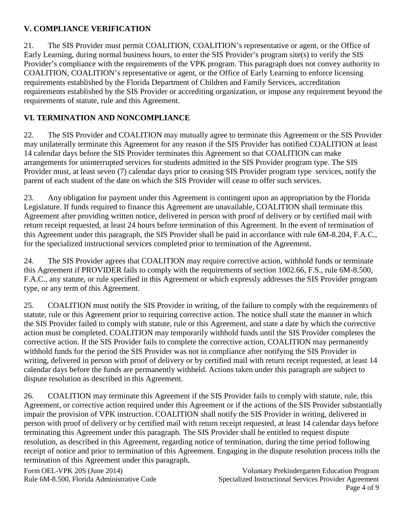## **V. COMPLIANCE VERIFICATION**

21. The SIS Provider must permit COALITION, COALITION's representative or agent, or the Office of Early Learning, during normal business hours, to enter the SIS Provider's program site(s) to verify the SIS Provider's compliance with the requirements of the VPK program. This paragraph does not convey authority to COALITION, COALITION's representative or agent, or the Office of Early Learning to enforce licensing requirements established by the Florida Department of Children and Family Services, accreditation requirements established by the SIS Provider or accrediting organization, or impose any requirement beyond the requirements of statute, rule and this Agreement.

# **VI. TERMINATION AND NONCOMPLIANCE**

22. The SIS Provider and COALITION may mutually agree to terminate this Agreement or the SIS Provider may unilaterally terminate this Agreement for any reason if the SIS Provider has notified COALITION at least 14 calendar days before the SIS Provider terminates this Agreement so that COALITION can make arrangements for uninterrupted services for students admitted in the SIS Provider program type. The SIS Provider must, at least seven (7) calendar days prior to ceasing SIS Provider program type services, notify the parent of each student of the date on which the SIS Provider will cease to offer such services.

23. Any obligation for payment under this Agreement is contingent upon an appropriation by the Florida Legislature. If funds required to finance this Agreement are unavailable, COALITION shall terminate this Agreement after providing written notice, delivered in person with proof of delivery or by certified mail with return receipt requested, at least 24 hours before termination of this Agreement. In the event of termination of this Agreement under this paragraph, the SIS Provider shall be paid in accordance with rule 6M-8.204, F.A.C., for the specialized instructional services completed prior to termination of the Agreement.

24. The SIS Provider agrees that COALITION may require corrective action, withhold funds or terminate this Agreement if PROVIDER fails to comply with the requirements of section 1002.66, F.S., rule 6M-8.500, F.A.C., any statute, or rule specified in this Agreement or which expressly addresses the SIS Provider program type, or any term of this Agreement.

25. COALITION must notify the SIS Provider in writing, of the failure to comply with the requirements of statute, rule or this Agreement prior to requiring corrective action. The notice shall state the manner in which the SIS Provider failed to comply with statute, rule or this Agreement, and state a date by which the corrective action must be completed. COALITION may temporarily withhold funds until the SIS Provider completes the corrective action. If the SIS Provider fails to complete the corrective action, COALITION may permanently withhold funds for the period the SIS Provider was not in compliance after notifying the SIS Provider in writing, delivered in person with proof of delivery or by certified mail with return receipt requested, at least 14 calendar days before the funds are permanently withheld. Actions taken under this paragraph are subject to dispute resolution as described in this Agreement.

26. COALITION may terminate this Agreement if the SIS Provider fails to comply with statute, rule, this Agreement, or corrective action required under this Agreement or if the actions of the SIS Provider substantially impair the provision of VPK instruction. COALITION shall notify the SIS Provider in writing, delivered in person with proof of delivery or by certified mail with return receipt requested, at least 14 calendar days before terminating this Agreement under this paragraph. The SIS Provider shall be entitled to request dispute resolution, as described in this Agreement, regarding notice of termination, during the time period following receipt of notice and prior to termination of this Agreement. Engaging in the dispute resolution process tolls the termination of this Agreement under this paragraph.

Form OEL-VPK 20S (June 2014) Rule 6M-8.500, Florida Administrative Code

Voluntary Prekindergarten Education Program Specialized Instructional Services Provider Agreement Page 4 of 9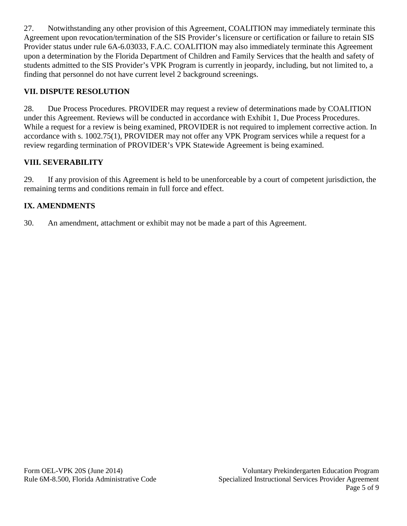27. Notwithstanding any other provision of this Agreement, COALITION may immediately terminate this Agreement upon revocation/termination of the SIS Provider's licensure or certification or failure to retain SIS Provider status under rule 6A-6.03033, F.A.C. COALITION may also immediately terminate this Agreement upon a determination by the Florida Department of Children and Family Services that the health and safety of students admitted to the SIS Provider's VPK Program is currently in jeopardy, including, but not limited to, a finding that personnel do not have current level 2 background screenings.

## **VII. DISPUTE RESOLUTION**

28. Due Process Procedures. PROVIDER may request a review of determinations made by COALITION under this Agreement. Reviews will be conducted in accordance with Exhibit 1, Due Process Procedures. While a request for a review is being examined, PROVIDER is not required to implement corrective action. In accordance with s. 1002.75(1), PROVIDER may not offer any VPK Program services while a request for a review regarding termination of PROVIDER's VPK Statewide Agreement is being examined.

#### **VIII. SEVERABILITY**

29. If any provision of this Agreement is held to be unenforceable by a court of competent jurisdiction, the remaining terms and conditions remain in full force and effect.

#### **IX. AMENDMENTS**

30. An amendment, attachment or exhibit may not be made a part of this Agreement.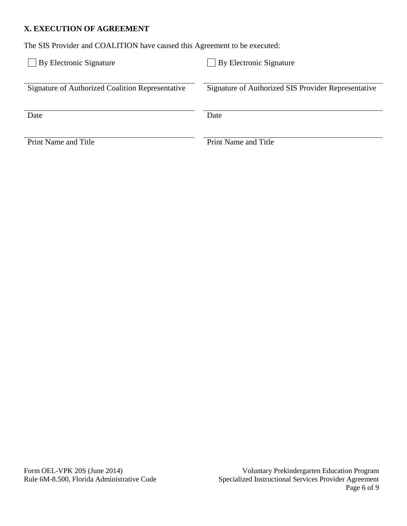#### **X. EXECUTION OF AGREEMENT**

The SIS Provider and COALITION have caused this Agreement to be executed:

| By Electronic Signature                          | By Electronic Signature                             |
|--------------------------------------------------|-----------------------------------------------------|
| Signature of Authorized Coalition Representative | Signature of Authorized SIS Provider Representative |
| Date                                             | Date                                                |
| <b>Print Name and Title</b>                      | <b>Print Name and Title</b>                         |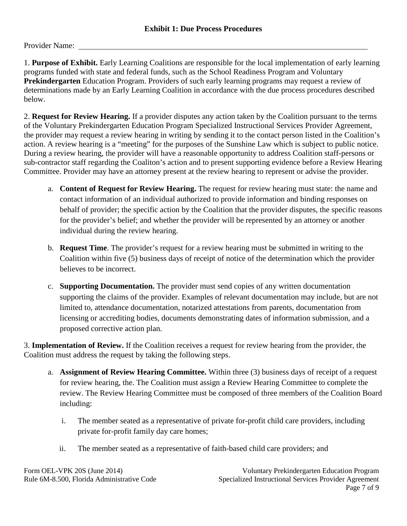Provider Name:

1. **Purpose of Exhibit.** Early Learning Coalitions are responsible for the local implementation of early learning programs funded with state and federal funds, such as the School Readiness Program and Voluntary **Prekindergarten** Education Program. Providers of such early learning programs may request a review of determinations made by an Early Learning Coalition in accordance with the due process procedures described below.

2. **Request for Review Hearing.** If a provider disputes any action taken by the Coalition pursuant to the terms of the Voluntary Prekindergarten Education Program Specialized Instructional Services Provider Agreement, the provider may request a review hearing in writing by sending it to the contact person listed in the Coalition's action. A review hearing is a "meeting" for the purposes of the Sunshine Law which is subject to public notice. During a review hearing, the provider will have a reasonable opportunity to address Coalition staff-persons or sub-contractor staff regarding the Coaliton's action and to present supporting evidence before a Review Hearing Committee. Provider may have an attorney present at the review hearing to represent or advise the provider.

- a. **Content of Request for Review Hearing.** The request for review hearing must state: the name and contact information of an individual authorized to provide information and binding responses on behalf of provider; the specific action by the Coalition that the provider disputes, the specific reasons for the provider's belief; and whether the provider will be represented by an attorney or another individual during the review hearing.
- b. **Request Time**. The provider's request for a review hearing must be submitted in writing to the Coalition within five (5) business days of receipt of notice of the determination which the provider believes to be incorrect.
- c. **Supporting Documentation.** The provider must send copies of any written documentation supporting the claims of the provider. Examples of relevant documentation may include, but are not limited to, attendance documentation, notarized attestations from parents, documentation from licensing or accrediting bodies, documents demonstrating dates of information submission, and a proposed corrective action plan.

3. **Implementation of Review.** If the Coalition receives a request for review hearing from the provider, the Coalition must address the request by taking the following steps.

- a. **Assignment of Review Hearing Committee.** Within three (3) business days of receipt of a request for review hearing, the. The Coalition must assign a Review Hearing Committee to complete the review. The Review Hearing Committee must be composed of three members of the Coalition Board including:
	- i. The member seated as a representative of private for-profit child care providers, including private for-profit family day care homes;
	- ii. The member seated as a representative of faith-based child care providers; and

Form OEL-VPK 20S (June 2014) Rule 6M-8.500, Florida Administrative Code

Voluntary Prekindergarten Education Program Specialized Instructional Services Provider Agreement Page 7 of 9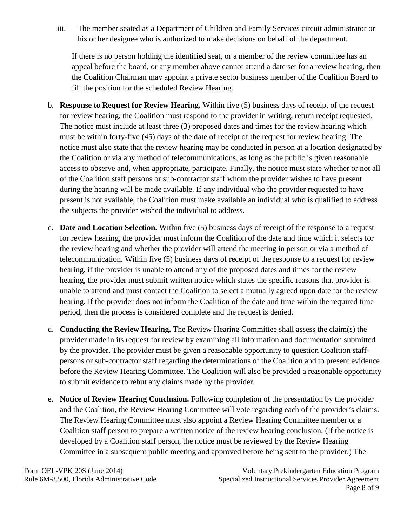iii. The member seated as a Department of Children and Family Services circuit administrator or his or her designee who is authorized to make decisions on behalf of the department.

If there is no person holding the identified seat, or a member of the review committee has an appeal before the board, or any member above cannot attend a date set for a review hearing, then the Coalition Chairman may appoint a private sector business member of the Coalition Board to fill the position for the scheduled Review Hearing.

- b. **Response to Request for Review Hearing.** Within five (5) business days of receipt of the request for review hearing, the Coalition must respond to the provider in writing, return receipt requested. The notice must include at least three (3) proposed dates and times for the review hearing which must be within forty-five (45) days of the date of receipt of the request for review hearing. The notice must also state that the review hearing may be conducted in person at a location designated by the Coalition or via any method of telecommunications, as long as the public is given reasonable access to observe and, when appropriate, participate. Finally, the notice must state whether or not all of the Coalition staff persons or sub-contractor staff whom the provider wishes to have present during the hearing will be made available. If any individual who the provider requested to have present is not available, the Coalition must make available an individual who is qualified to address the subjects the provider wished the individual to address.
- c. **Date and Location Selection.** Within five (5) business days of receipt of the response to a request for review hearing, the provider must inform the Coalition of the date and time which it selects for the review hearing and whether the provider will attend the meeting in person or via a method of telecommunication. Within five (5) business days of receipt of the response to a request for review hearing, if the provider is unable to attend any of the proposed dates and times for the review hearing, the provider must submit written notice which states the specific reasons that provider is unable to attend and must contact the Coalition to select a mutually agreed upon date for the review hearing. If the provider does not inform the Coalition of the date and time within the required time period, then the process is considered complete and the request is denied.
- d. **Conducting the Review Hearing.** The Review Hearing Committee shall assess the claim(s) the provider made in its request for review by examining all information and documentation submitted by the provider. The provider must be given a reasonable opportunity to question Coalition staffpersons or sub-contractor staff regarding the determinations of the Coalition and to present evidence before the Review Hearing Committee. The Coalition will also be provided a reasonable opportunity to submit evidence to rebut any claims made by the provider.
- e. **Notice of Review Hearing Conclusion.** Following completion of the presentation by the provider and the Coalition, the Review Hearing Committee will vote regarding each of the provider's claims. The Review Hearing Committee must also appoint a Review Hearing Committee member or a Coalition staff person to prepare a written notice of the review hearing conclusion. (If the notice is developed by a Coalition staff person, the notice must be reviewed by the Review Hearing Committee in a subsequent public meeting and approved before being sent to the provider.) The

Form OEL-VPK 20S (June 2014) Rule 6M-8.500, Florida Administrative Code

Voluntary Prekindergarten Education Program Specialized Instructional Services Provider Agreement Page 8 of 9